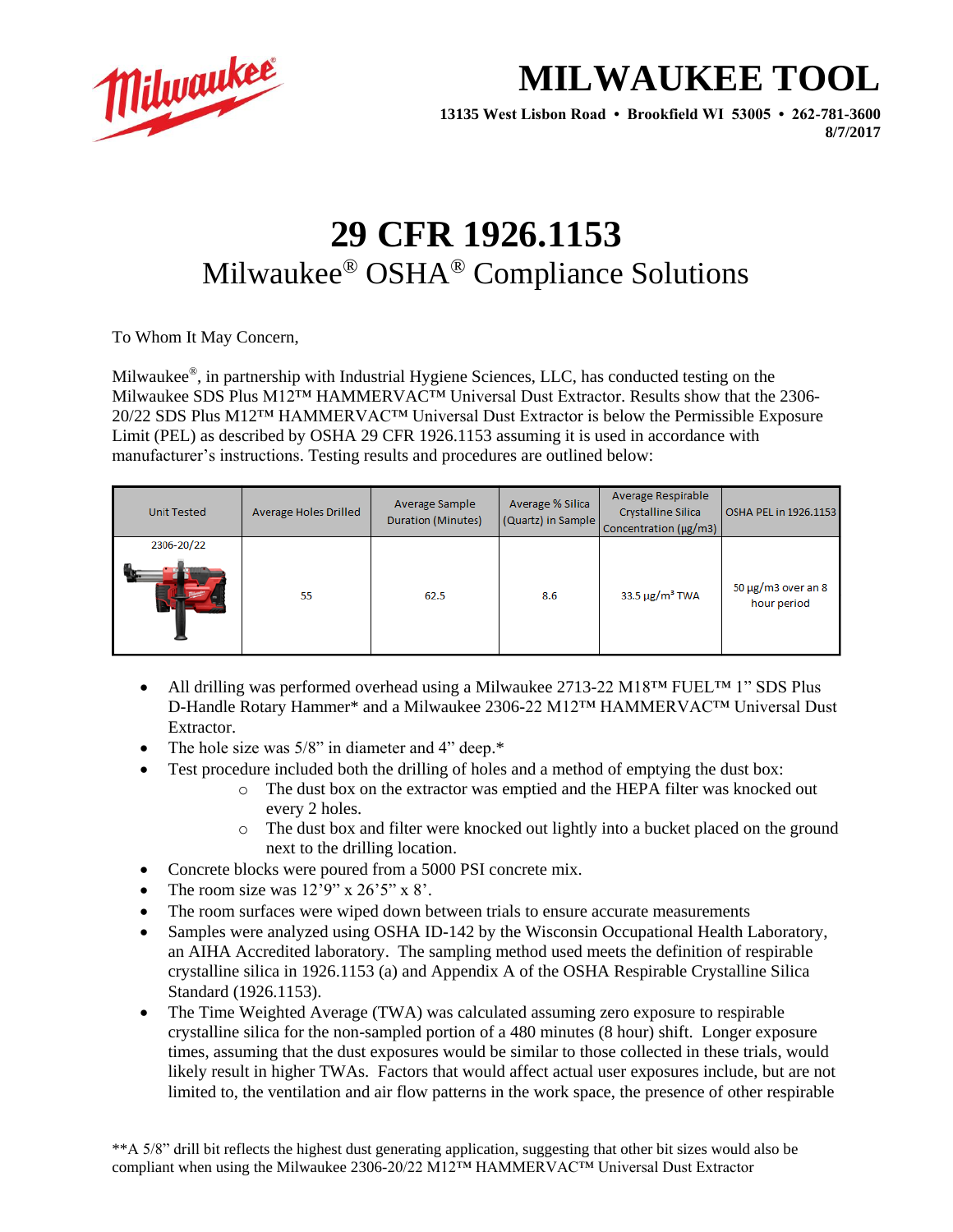

## **MILWAUKEE TOOL**

**13135 West Lisbon Road • Brookfield WI 53005 • 262-781-3600 8/7/2017**

## **29 CFR 1926.1153** Milwaukee® OSHA® Compliance Solutions

To Whom It May Concern,

Milwaukee®, in partnership with Industrial Hygiene Sciences, LLC, has conducted testing on the Milwaukee SDS Plus M12™ HAMMERVAC™ Universal Dust Extractor. Results show that the 2306- 20/22 SDS Plus M12™ HAMMERVAC™ Universal Dust Extractor is below the Permissible Exposure Limit (PEL) as described by OSHA 29 CFR 1926.1153 assuming it is used in accordance with manufacturer's instructions. Testing results and procedures are outlined below:

| <b>Unit Tested</b> | Average Holes Drilled | Average Sample<br>Duration (Minutes) | Average % Silica<br>(Quartz) in Sample | Average Respirable<br><b>Crystalline Silica</b><br>Concentration (µg/m3) | OSHA PEL in 1926.1153                  |
|--------------------|-----------------------|--------------------------------------|----------------------------------------|--------------------------------------------------------------------------|----------------------------------------|
| 2306-20/22         |                       |                                      |                                        |                                                                          |                                        |
|                    | 55                    | 62.5                                 | 8.6                                    | $33.5 \,\mathrm{\mu g/m^3}$ TWA                                          | $50 \mu g/m3$ over an 8<br>hour period |

- All drilling was performed overhead using a Milwaukee 2713-22 M18™ FUEL™ 1" SDS Plus D-Handle Rotary Hammer\* and a Milwaukee 2306-22 M12™ HAMMERVAC™ Universal Dust Extractor.
- The hole size was 5/8" in diameter and 4" deep.\*
- Test procedure included both the drilling of holes and a method of emptying the dust box:
	- o The dust box on the extractor was emptied and the HEPA filter was knocked out every 2 holes.
	- o The dust box and filter were knocked out lightly into a bucket placed on the ground next to the drilling location.
- Concrete blocks were poured from a 5000 PSI concrete mix.
- The room size was  $12'9''$  x  $26'5''$  x  $8'$ .
- The room surfaces were wiped down between trials to ensure accurate measurements
- Samples were analyzed using OSHA ID-142 by the Wisconsin Occupational Health Laboratory, an AIHA Accredited laboratory. The sampling method used meets the definition of respirable crystalline silica in 1926.1153 (a) and Appendix A of the OSHA Respirable Crystalline Silica Standard (1926.1153).
- The Time Weighted Average (TWA) was calculated assuming zero exposure to respirable crystalline silica for the non-sampled portion of a 480 minutes (8 hour) shift. Longer exposure times, assuming that the dust exposures would be similar to those collected in these trials, would likely result in higher TWAs. Factors that would affect actual user exposures include, but are not limited to, the ventilation and air flow patterns in the work space, the presence of other respirable